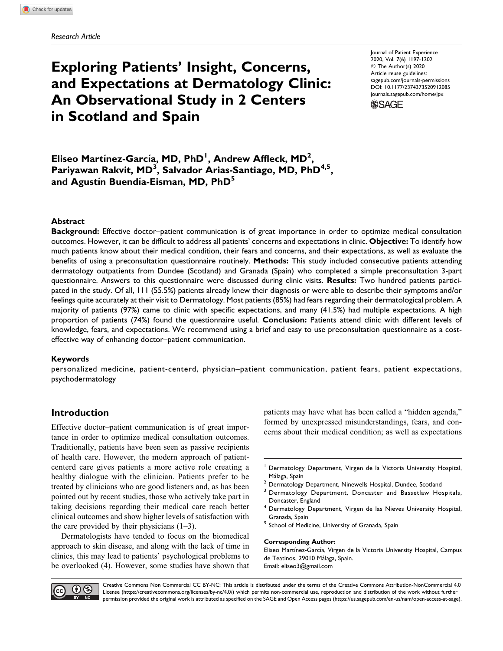# **Exploring Patients' Insight, Concerns, and Expectations at Dermatology Clinic: An Observational Study in 2 Centers in Scotland and Spain**

Journal of Patient Experience 2020, Vol. 7(6) 1197-1202 © The Author(s) 2020 Article reuse guidelines: [sagepub.com/journals-permissions](https://sagepub.com/journals-permissions) [DOI: 10.1177/2374373520912085](https://doi.org/10.1177/2374373520912085) [journals.sagepub.com/home/jpx](http://journals.sagepub.com/home/jpx) **SSAGE** 

**E**liseo Martínez-García, MD, PhD<sup>1</sup>, Andrew Affleck, MD<sup>2</sup>, **Pariyawan Rakvit, MD<sup>3</sup> , Salvador Arias-Santiago, MD, PhD4,5,** and Agustín Buendía-Eisman, MD, PhD<sup>5</sup>

## **Abstract**

**Background:** Effective doctor–patient communication is of great importance in order to optimize medical consultation outcomes. However, it can be difficult to address all patients' concerns and expectations in clinic. **Objective:** To identify how much patients know about their medical condition, their fears and concerns, and their expectations, as well as evaluate the benefits of using a preconsultation questionnaire routinely. **Methods:** This study included consecutive patients attending dermatology outpatients from Dundee (Scotland) and Granada (Spain) who completed a simple preconsultation 3-part questionnaire. Answers to this questionnaire were discussed during clinic visits. **Results:** Two hundred patients participated in the study. Of all, 111 (55.5%) patients already knew their diagnosis or were able to describe their symptoms and/or feelings quite accurately at their visit to Dermatology. Most patients (85%) had fears regarding their dermatological problem. A majority of patients (97%) came to clinic with specific expectations, and many (41.5%) had multiple expectations. A high proportion of patients (74%) found the questionnaire useful. **Conclusion:** Patients attend clinic with different levels of knowledge, fears, and expectations. We recommend using a brief and easy to use preconsultation questionnaire as a costeffective way of enhancing doctor–patient communication.

#### **Keywords**

personalized medicine, patient-centerd, physician–patient communication, patient fears, patient expectations, psychodermatology

# **Introduction**

Effective doctor–patient communication is of great importance in order to optimize medical consultation outcomes. Traditionally, patients have been seen as passive recipients of health care. However, the modern approach of patientcenterd care gives patients a more active role creating a healthy dialogue with the clinician. Patients prefer to be treated by clinicians who are good listeners and, as has been pointed out by recent studies, those who actively take part in taking decisions regarding their medical care reach better clinical outcomes and show higher levels of satisfaction with the care provided by their physicians  $(1-3)$ .

Dermatologists have tended to focus on the biomedical approach to skin disease, and along with the lack of time in clinics, this may lead to patients' psychological problems to be overlooked (4). However, some studies have shown that patients may have what has been called a "hidden agenda," formed by unexpressed misunderstandings, fears, and concerns about their medical condition; as well as expectations

- <sup>1</sup> Dermatology Department, Virgen de la Victoria University Hospital, Málaga, Spain  $^2$  Dermatology Department, Ninewells Hospital, Dundee, Scotland
- 
- <sup>3</sup> Dermatology Department, Doncaster and Bassetlaw Hospitals, Doncaster, England
- <sup>4</sup> Dermatology Department, Virgen de las Nieves University Hospital, Granada, Spain
- <sup>5</sup> School of Medicine, University of Granada, Spain

#### **Corresponding Author:**

Eliseo Martínez-García, Virgen de la Victoria University Hospital, Campus de Teatinos, 29010 Málaga, Spain. Email: [eliseo3@gmail.com](mailto:eliseo3@gmail.com)



Creative Commons Non Commercial CC BY-NC: This article is distributed under the terms of the Creative Commons Attribution-NonCommercial 4.0 License [\(https://creativecommons.org/licenses/by-nc/4.0/](https://creativecommons.org/licenses/by-nc/4.0/)) which permits non-commercial use, reproduction and distribution of the work without further permission provided the original work is attributed as specified on the SAGE and Open Access pages ([https://us.sagepub.com/en-us/nam/open-access-at-sage\)](https://us.sagepub.com/en-us/nam/open-access-at-sage).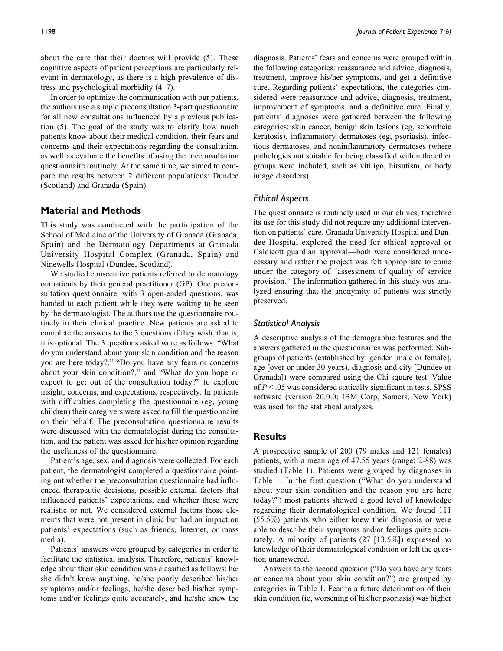about the care that their doctors will provide (5). These cognitive aspects of patient perceptions are particularly relevant in dermatology, as there is a high prevalence of distress and psychological morbidity (4–7).

In order to optimize the communication with our patients, the authors use a simple preconsultation 3-part questionnaire for all new consultations influenced by a previous publication (5). The goal of the study was to clarify how much patients know about their medical condition, their fears and concerns and their expectations regarding the consultation, as well as evaluate the benefits of using the preconsultation questionnaire routinely. At the same time, we aimed to compare the results between 2 different populations: Dundee (Scotland) and Granada (Spain).

# **Material and Methods**

This study was conducted with the participation of the School of Medicine of the University of Granada (Granada, Spain) and the Dermatology Departments at Granada University Hospital Complex (Granada, Spain) and Ninewells Hospital (Dundee, Scotland).

We studied consecutive patients referred to dermatology outpatients by their general practitioner (GP). One preconsultation questionnaire, with 3 open-ended questions, was handed to each patient while they were waiting to be seen by the dermatologist. The authors use the questionnaire routinely in their clinical practice. New patients are asked to complete the answers to the 3 questions if they wish, that is, it is optional. The 3 questions asked were as follows: "What do you understand about your skin condition and the reason you are here today?," "Do you have any fears or concerns about your skin condition?," and "What do you hope or expect to get out of the consultation today?" to explore insight, concerns, and expectations, respectively. In patients with difficulties completing the questionnaire (eg, young children) their caregivers were asked to fill the questionnaire on their behalf. The preconsultation questionnaire results were discussed with the dermatologist during the consultation, and the patient was asked for his/her opinion regarding the usefulness of the questionnaire.

Patient's age, sex, and diagnosis were collected. For each patient, the dermatologist completed a questionnaire pointing out whether the preconsultation questionnaire had influenced therapeutic decisions, possible external factors that influenced patients' expectations, and whether these were realistic or not. We considered external factors those elements that were not present in clinic but had an impact on patients' expectations (such as friends, Internet, or mass media).

Patients' answers were grouped by categories in order to facilitate the statistical analysis. Therefore, patients' knowledge about their skin condition was classified as follows: he/ she didn't know anything, he/she poorly described his/her symptoms and/or feelings, he/she described his/her symptoms and/or feelings quite accurately, and he/she knew the

diagnosis. Patients' fears and concerns were grouped within the following categories: reassurance and advice, diagnosis, treatment, improve his/her symptoms, and get a definitive cure. Regarding patients' expectations, the categories considered were reassurance and advice, diagnosis, treatment, improvement of symptoms, and a definitive cure. Finally, patients' diagnoses were gathered between the following categories: skin cancer, benign skin lesions (eg, seborrheic keratosis), inflammatory dermatoses (eg, psoriasis), infectious dermatoses, and noninflammatory dermatoses (where pathologies not suitable for being classified within the other groups were included, such as vitiligo, hirsutism, or body image disorders).

# *Ethical Aspects*

The questionnaire is routinely used in our clinics, therefore its use for this study did not require any additional intervention on patients' care. Granada University Hospital and Dundee Hospital explored the need for ethical approval or Caldicott guardian approval—both were considered unnecessary and rather the project was felt appropriate to come under the category of "assessment of quality of service provision." The information gathered in this study was analyzed ensuring that the anonymity of patients was strictly preserved.

#### *Statistical Analysis*

A descriptive analysis of the demographic features and the answers gathered in the questionnaires was performed. Subgroups of patients (established by: gender [male or female], age [over or under 30 years), diagnosis and city [Dundee or Granada]) were compared using the Chi-square test. Value of  $P < 0.05$  was considered statically significant in tests. SPSS software (version 20.0.0; IBM Corp, Somers, New York) was used for the statistical analyses.

# **Results**

A prospective sample of 200 (79 males and 121 females) patients, with a mean age of 47.55 years (range: 2-88) was studied (Table 1). Patients were grouped by diagnoses in Table 1. In the first question ("What do you understand about your skin condition and the reason you are here today?") most patients showed a good level of knowledge regarding their dermatological condition. We found 111 (55.5%) patients who either knew their diagnosis or were able to describe their symptoms and/or feelings quite accurately. A minority of patients (27 [13.5%]) expressed no knowledge of their dermatological condition or left the question unanswered.

Answers to the second question ("Do you have any fears or concerns about your skin condition?") are grouped by categories in Table 1. Fear to a future deterioration of their skin condition (ie, worsening of his/her psoriasis) was higher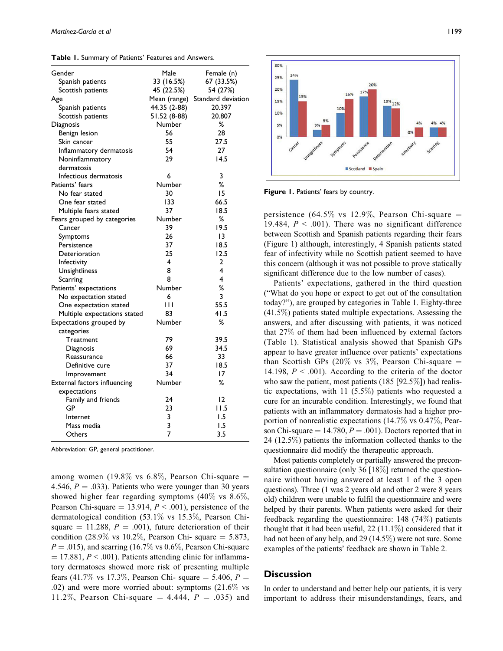| <b>rable 1.</b> Summary or rations readines and $\tau$ |                |                    |
|--------------------------------------------------------|----------------|--------------------|
| Gender                                                 | Male           | Female (n)         |
| Spanish patients                                       | 33 (16.5%)     | 67 (33.5%)         |
| Scottish patients                                      | 45 (22.5%)     | 54 (27%)           |
| Age                                                    | Mean (range)   | Standard deviation |
| Spanish patients                                       | 44.35 (2-88)   | 20.397             |
| Scottish patients                                      | 51.52 (8-88)   | 20.807             |
| Diagnosis                                              | Number         | %                  |
| Benign lesion                                          | 56             | 28                 |
| Skin cancer                                            | 55             | 27.5               |
| Inflammatory dermatosis                                | 54             | 27                 |
| Noninflammatory                                        | 29             | 14.5               |
| dermatosis                                             |                |                    |
| Infectious dermatosis                                  | 6              | 3                  |
| Patients' fears                                        | Number         | %                  |
| No fear stated                                         | 30             | 15                 |
| One fear stated                                        | 133            | 66.5               |
| Multiple fears stated                                  | 37             | 18.5               |
| Fears grouped by categories                            | Number         | %                  |
| Cancer                                                 | 39             | 19.5               |
| Symptoms                                               | 26             | 13                 |
| Persistence                                            | 37             | 18.5               |
| Deterioration                                          | 25             | 12.5               |
| Infectivity                                            | 4              | 2                  |
| Unsightliness                                          | 8              | 4                  |
| Scarring                                               | 8              | 4                  |
| Patients' expectations                                 | Number         | %                  |
| No expectation stated                                  | 6              | 3                  |
| One expectation stated                                 | Ш              | 55.5               |
| Multiple expectations stated                           | 83             | 41.5               |
| Expectations grouped by                                | Number         | %                  |
| categories                                             |                |                    |
| Treatment                                              | 79             | 39.5               |
| Diagnosis                                              | 69             | 34.5               |
| Reassurance                                            | 66             | 33                 |
| Definitive cure                                        | 37             | 18.5               |
| Improvement                                            | 34             | 17                 |
| External factors influencing                           | Number         | %                  |
| expectations                                           |                |                    |
| Family and friends                                     | 24             | 12                 |
| GP                                                     | 23             | I I.5              |
| Internet                                               | 3              | 1.5                |
| Mass media                                             | 3              | 1.5                |
| Others                                                 | $\overline{7}$ | 3.5                |

**Table 1.** Summary of Patients' Features and A

Abbreviation: GP, general practitioner.

among women (19.8% vs 6.8%, Pearson Chi-square  $=$ 4.546,  $P = .033$ ). Patients who were younger than 30 years showed higher fear regarding symptoms (40% vs 8.6%, Pearson Chi-square  $= 13.914, P < .001$ ), persistence of the dermatological condition (53.1% vs 15.3%, Pearson Chisquare  $= 11.288$ ,  $P = .001$ ), future deterioration of their condition (28.9% vs 10.2%, Pearson Chi- square  $=$  5.873,  $P = .015$ ), and scarring (16.7% vs 0.6%, Pearson Chi-square  $= 17.881, P < .001$ ). Patients attending clinic for inflammatory dermatoses showed more risk of presenting multiple fears (41.7% vs 17.3%, Pearson Chi- square  $=$  5.406, P  $=$ .02) and were more worried about: symptoms (21.6% vs 11.2%, Pearson Chi-square = 4.444,  $P = .035$ ) and



**Figure 1.** Patients' fears by country.

persistence (64.5% vs 12.9%, Pearson Chi-square  $=$ 19.484,  $P < .001$ ). There was no significant difference between Scottish and Spanish patients regarding their fears (Figure 1) although, interestingly, 4 Spanish patients stated fear of infectivity while no Scottish patient seemed to have this concern (although it was not possible to prove statically significant difference due to the low number of cases).

Patients' expectations, gathered in the third question ("What do you hope or expect to get out of the consultation today?"), are grouped by categories in Table 1. Eighty-three (41.5%) patients stated multiple expectations. Assessing the answers, and after discussing with patients, it was noticed that 27% of them had been influenced by external factors (Table 1). Statistical analysis showed that Spanish GPs appear to have greater influence over patients' expectations than Scottish GPs (20% vs 3%, Pearson Chi-square  $=$ 14.198,  $P < .001$ ). According to the criteria of the doctor who saw the patient, most patients (185 [92.5%]) had realistic expectations, with 11 (5.5%) patients who requested a cure for an incurable condition. Interestingly, we found that patients with an inflammatory dermatosis had a higher proportion of nonrealistic expectations (14.7% vs 0.47%, Pearson Chi-square  $= 14.780, P = .001$ . Doctors reported that in 24 (12.5%) patients the information collected thanks to the questionnaire did modify the therapeutic approach.

Most patients completely or partially answered the preconsultation questionnaire (only 36 [18%] returned the questionnaire without having answered at least 1 of the 3 open questions). Three (1 was 2 years old and other 2 were 8 years old) children were unable to fulfil the questionnaire and were helped by their parents. When patients were asked for their feedback regarding the questionnaire: 148 (74%) patients thought that it had been useful,  $22$  (11.1%) considered that it had not been of any help, and 29 (14.5%) were not sure. Some examples of the patients' feedback are shown in Table 2.

# **Discussion**

In order to understand and better help our patients, it is very important to address their misunderstandings, fears, and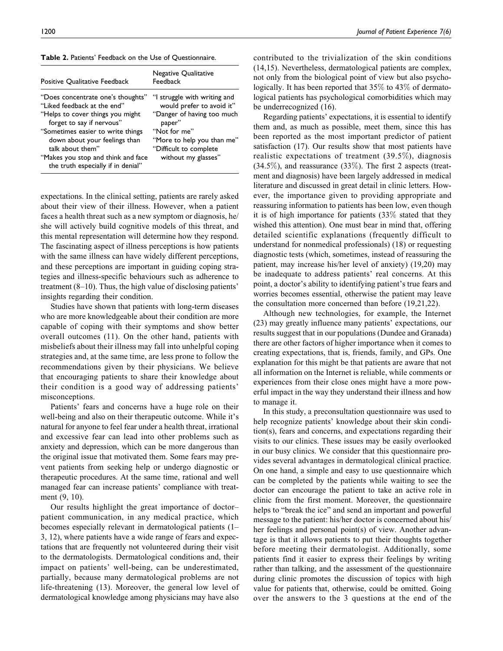**Table 2.** Patients' Feedback on the Use of Questionnaire.

| Positive Qualitative Feedback                                                                                                                                                                                                                                                                           | Negative Qualitative<br>Feedback                                                                                                                                                                 |
|---------------------------------------------------------------------------------------------------------------------------------------------------------------------------------------------------------------------------------------------------------------------------------------------------------|--------------------------------------------------------------------------------------------------------------------------------------------------------------------------------------------------|
| "Does concentrate one's thoughts"<br>"Liked feedback at the end"<br>"Helps to cover things you might<br>forget to say if nervous"<br>"Sometimes easier to write things<br>down about your feelings than<br>talk about them"<br>"Makes you stop and think and face<br>the truth especially if in denial" | "I struggle with writing and<br>would prefer to avoid it"<br>"Danger of having too much<br>paper"<br>"Not for me"<br>"More to help you than me"<br>"Difficult to complete<br>without my glasses" |

expectations. In the clinical setting, patients are rarely asked about their view of their illness. However, when a patient faces a health threat such as a new symptom or diagnosis, he/ she will actively build cognitive models of this threat, and this mental representation will determine how they respond. The fascinating aspect of illness perceptions is how patients with the same illness can have widely different perceptions, and these perceptions are important in guiding coping strategies and illness-specific behaviours such as adherence to treatment (8–10). Thus, the high value of disclosing patients' insights regarding their condition.

Studies have shown that patients with long-term diseases who are more knowledgeable about their condition are more capable of coping with their symptoms and show better overall outcomes (11). On the other hand, patients with misbeliefs about their illness may fall into unhelpful coping strategies and, at the same time, are less prone to follow the recommendations given by their physicians. We believe that encouraging patients to share their knowledge about their condition is a good way of addressing patients' misconceptions.

Patients' fears and concerns have a huge role on their well-being and also on their therapeutic outcome. While it's natural for anyone to feel fear under a health threat, irrational and excessive fear can lead into other problems such as anxiety and depression, which can be more dangerous than the original issue that motivated them. Some fears may prevent patients from seeking help or undergo diagnostic or therapeutic procedures. At the same time, rational and well managed fear can increase patients' compliance with treatment (9, 10).

Our results highlight the great importance of doctor– patient communication, in any medical practice, which becomes especially relevant in dermatological patients (1– 3, 12), where patients have a wide range of fears and expectations that are frequently not volunteered during their visit to the dermatologists. Dermatological conditions and, their impact on patients' well-being, can be underestimated, partially, because many dermatological problems are not life-threatening (13). Moreover, the general low level of dermatological knowledge among physicians may have also be underrecognized (16). Regarding patients' expectations, it is essential to identify them and, as much as possible, meet them, since this has been reported as the most important predictor of patient satisfaction (17). Our results show that most patients have realistic expectations of treatment (39.5%), diagnosis (34.5%), and reassurance (33%). The first 2 aspects (treatment and diagnosis) have been largely addressed in medical literature and discussed in great detail in clinic letters. However, the importance given to providing appropriate and reassuring information to patients has been low, even though it is of high importance for patients (33% stated that they wished this attention). One must bear in mind that, offering detailed scientific explanations (frequently difficult to understand for nonmedical professionals) (18) or requesting diagnostic tests (which, sometimes, instead of reassuring the patient, may increase his/her level of anxiety) (19,20) may be inadequate to address patients' real concerns. At this point, a doctor's ability to identifying patient's true fears and worries becomes essential, otherwise the patient may leave the consultation more concerned than before (19,21,22).

Although new technologies, for example, the Internet (23) may greatly influence many patients' expectations, our results suggest that in our populations (Dundee and Granada) there are other factors of higher importance when it comes to creating expectations, that is, friends, family, and GPs. One explanation for this might be that patients are aware that not all information on the Internet is reliable, while comments or experiences from their close ones might have a more powerful impact in the way they understand their illness and how to manage it.

In this study, a preconsultation questionnaire was used to help recognize patients' knowledge about their skin condition(s), fears and concerns, and expectations regarding their visits to our clinics. These issues may be easily overlooked in our busy clinics. We consider that this questionnaire provides several advantages in dermatological clinical practice. On one hand, a simple and easy to use questionnaire which can be completed by the patients while waiting to see the doctor can encourage the patient to take an active role in clinic from the first moment. Moreover, the questionnaire helps to "break the ice" and send an important and powerful message to the patient: his/her doctor is concerned about his/ her feelings and personal point(s) of view. Another advantage is that it allows patients to put their thoughts together before meeting their dermatologist. Additionally, some patients find it easier to express their feelings by writing rather than talking, and the assessment of the questionnaire during clinic promotes the discussion of topics with high value for patients that, otherwise, could be omitted. Going over the answers to the 3 questions at the end of the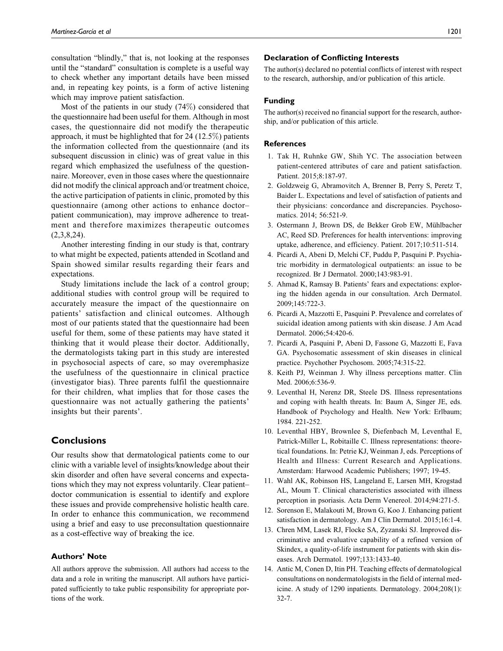consultation "blindly," that is, not looking at the responses until the "standard" consultation is complete is a useful way to check whether any important details have been missed and, in repeating key points, is a form of active listening which may improve patient satisfaction.

Most of the patients in our study (74%) considered that the questionnaire had been useful for them. Although in most cases, the questionnaire did not modify the therapeutic approach, it must be highlighted that for 24 (12.5%) patients the information collected from the questionnaire (and its subsequent discussion in clinic) was of great value in this regard which emphasized the usefulness of the questionnaire. Moreover, even in those cases where the questionnaire did not modify the clinical approach and/or treatment choice, the active participation of patients in clinic, promoted by this questionnaire (among other actions to enhance doctor– patient communication), may improve adherence to treatment and therefore maximizes therapeutic outcomes  $(2,3,8,24)$ .

Another interesting finding in our study is that, contrary to what might be expected, patients attended in Scotland and Spain showed similar results regarding their fears and expectations.

Study limitations include the lack of a control group; additional studies with control group will be required to accurately measure the impact of the questionnaire on patients' satisfaction and clinical outcomes. Although most of our patients stated that the questionnaire had been useful for them, some of these patients may have stated it thinking that it would please their doctor. Additionally, the dermatologists taking part in this study are interested in psychosocial aspects of care, so may overemphasize the usefulness of the questionnaire in clinical practice (investigator bias). Three parents fulfil the questionnaire for their children, what implies that for those cases the questionnaire was not actually gathering the patients' insights but their parents'.

# **Conclusions**

Our results show that dermatological patients come to our clinic with a variable level of insights/knowledge about their skin disorder and often have several concerns and expectations which they may not express voluntarily. Clear patient– doctor communication is essential to identify and explore these issues and provide comprehensive holistic health care. In order to enhance this communication, we recommend using a brief and easy to use preconsultation questionnaire as a cost-effective way of breaking the ice.

### **Authors' Note**

All authors approve the submission. All authors had access to the data and a role in writing the manuscript. All authors have participated sufficiently to take public responsibility for appropriate portions of the work.

### **Declaration of Conflicting Interests**

The author(s) declared no potential conflicts of interest with respect to the research, authorship, and/or publication of this article.

#### **Funding**

The author(s) received no financial support for the research, authorship, and/or publication of this article.

#### **References**

- 1. Tak H, Ruhnke GW, Shih YC. The association between patient-centered attributes of care and patient satisfaction. Patient. 2015;8:187-97.
- 2. Goldzweig G, Abramovitch A, Brenner B, Perry S, Peretz T, Baider L. Expectations and level of satisfaction of patients and their physicians: concordance and discrepancies. Psychosomatics. 2014; 56:521-9.
- 3. Ostermann J, Brown DS, de Bekker Grob EW, Mühlbacher AC, Reed SD. Preferences for health interventions: improving uptake, adherence, and efficiency. Patient. 2017;10:511-514.
- 4. Picardi A, Abeni D, Melchi CF, Puddu P, Pasquini P. Psychiatric morbidity in dermatological outpatients: an issue to be recognized. Br J Dermatol. 2000;143:983-91.
- 5. Ahmad K, Ramsay B. Patients' fears and expectations: exploring the hidden agenda in our consultation. Arch Dermatol. 2009;145:722-3.
- 6. Picardi A, Mazzotti E, Pasquini P. Prevalence and correlates of suicidal ideation among patients with skin disease. J Am Acad Dermatol. 2006;54:420-6.
- 7. Picardi A, Pasquini P, Abeni D, Fassone G, Mazzotti E, Fava GA. Psychosomatic assessment of skin diseases in clinical practice. Psychother Psychosom. 2005;74:315-22.
- 8. Keith PJ, Weinman J. Why illness perceptions matter. Clin Med. 2006:6:536-9.
- 9. Leventhal H, Nerenz DR, Steele DS. Illness representations and coping with health threats. In: Baum A, Singer JE, eds. Handbook of Psychology and Health. New York: Erlbaum; 1984. 221-252.
- 10. Leventhal HBY, Brownlee S, Diefenbach M, Leventhal E, Patrick-Miller L, Robitaille C. Illness representations: theoretical foundations. In: Petrie KJ, Weinman J, eds. Perceptions of Health and Illness: Current Research and Applications. Amsterdam: Harwood Academic Publishers; 1997; 19-45.
- 11. Wahl AK, Robinson HS, Langeland E, Larsen MH, Krogstad AL, Moum T. Clinical characteristics associated with illness perception in psoriasis. Acta Derm Venereol. 2014;94:271-5.
- 12. Sorenson E, Malakouti M, Brown G, Koo J. Enhancing patient satisfaction in dermatology. Am J Clin Dermatol. 2015;16:1-4.
- 13. Chren MM, Lasek RJ, Flocke SA, Zyzanski SJ. Improved discriminative and evaluative capability of a refined version of Skindex, a quality-of-life instrument for patients with skin diseases. Arch Dermatol. 1997;133:1433-40.
- 14. Antic M, Conen D, Itin PH. Teaching effects of dermatological consultations on nondermatologists in the field of internal medicine. A study of 1290 inpatients. Dermatology. 2004;208(1): 32-7.